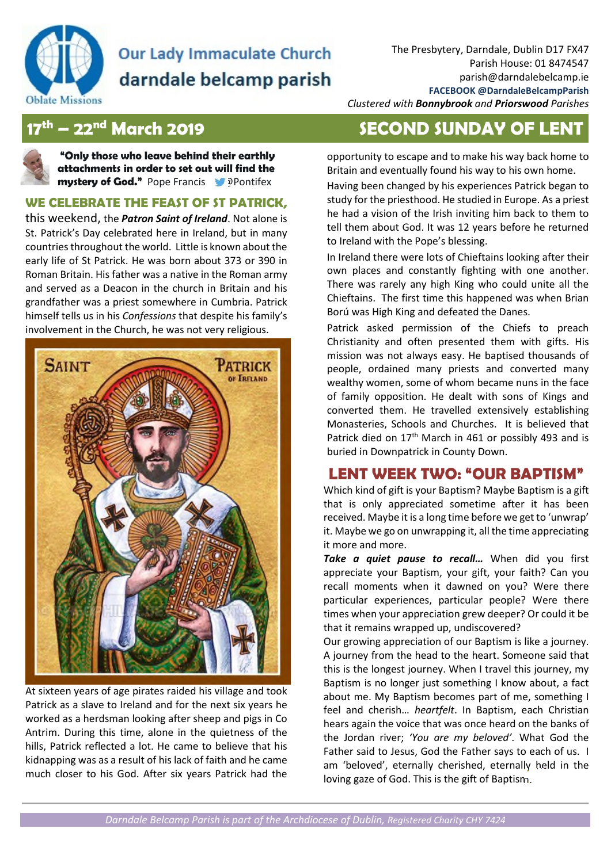

# **Our Lady Immaculate Church** darndale belcamp parish

*Clustered with Bonnybrook and Priorswood Parishes* 

**"Only those who leave behind their earthly attachments in order to set out will find the mystery of God."** Pope Francis **Department Property** 

#### **WE CELEBRATE THE FEAST OF ST PATRICK,**

this weekend, the *Patron Saint of Ireland*. Not alone is St. Patrick's Day celebrated here in Ireland, but in many countries throughout the world. Little is known about the early life of St Patrick. He was born about 373 or 390 in Roman Britain. His father was a native in the Roman army and served as a Deacon in the church in Britain and his grandfather was a priest somewhere in Cumbria. Patrick himself tells us in his *Confessions* that despite his family's involvement in the Church, he was not very religious.



At sixteen years of age pirates raided his village and took Patrick as a slave to Ireland and for the next six years he worked as a herdsman looking after sheep and pigs in Co Antrim. During this time, alone in the quietness of the hills, Patrick reflected a lot. He came to believe that his kidnapping was as a result of his lack of faith and he came much closer to his God. After six years Patrick had the

# **17th – 22nd March 2019 SECOND SUNDAY OF LENT**

opportunity to escape and to make his way back home to Britain and eventually found his way to his own home.

Having been changed by his experiences Patrick began to study for the priesthood. He studied in Europe. As a priest he had a vision of the Irish inviting him back to them to tell them about God. It was 12 years before he returned to Ireland with the Pope's blessing.

In Ireland there were lots of Chieftains looking after their own places and constantly fighting with one another. There was rarely any high King who could unite all the Chieftains. The first time this happened was when Brian Ború was High King and defeated the Danes.

Patrick asked permission of the Chiefs to preach Christianity and often presented them with gifts. His mission was not always easy. He baptised thousands of people, ordained many priests and converted many wealthy women, some of whom became nuns in the face of family opposition. He dealt with sons of Kings and converted them. He travelled extensively establishing Monasteries, Schools and Churches. It is believed that Patrick died on 17<sup>th</sup> March in 461 or possibly 493 and is buried in Downpatrick in County Down.

## **LENT WEEK TWO: "OUR BAPTISM"**

Which kind of gift is your Baptism? Maybe Baptism is a gift that is only appreciated sometime after it has been received. Maybe it is a long time before we get to 'unwrap' it. Maybe we go on unwrapping it, all the time appreciating it more and more.

*Take a quiet pause to recall…* When did you first appreciate your Baptism, your gift, your faith? Can you recall moments when it dawned on you? Were there particular experiences, particular people? Were there times when your appreciation grew deeper? Or could it be that it remains wrapped up, undiscovered?

Our growing appreciation of our Baptism is like a journey. A journey from the head to the heart. Someone said that this is the longest journey. When I travel this journey, my Baptism is no longer just something I know about, a fact about me. My Baptism becomes part of me, something I feel and cherish… *heartfelt*. In Baptism, each Christian hears again the voice that was once heard on the banks of the Jordan river; *'You are my beloved'*. What God the Father said to Jesus, God the Father says to each of us. I am 'beloved', eternally cherished, eternally held in the loving gaze of God. This is the gift of Baptism.